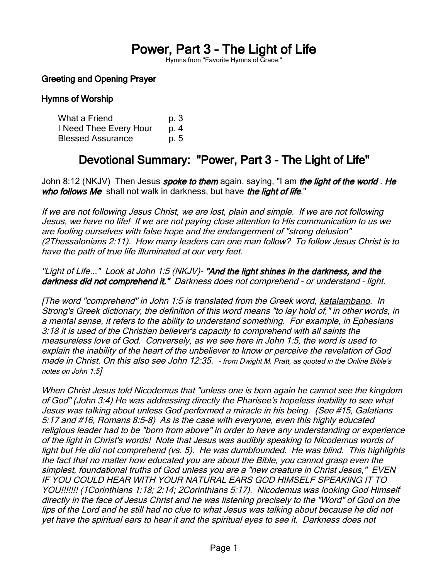# Power, Part 3 - The Light of Life

Hymns from "Favorite Hymns of Grace."

# Greeting and Opening Prayer

# Hymns of Worship

| What a Friend            | p. 3 |
|--------------------------|------|
| I Need Thee Every Hour   | p. 4 |
| <b>Blessed Assurance</b> | p. 5 |

# Devotional Summary: "Power, Part 3 - The Light of Life"

John 8:12 (NKJV) Then Jesus *spoke to them* again, saying, "I am *the light of the world . He* who follows Me shall not walk in darkness, but have the light of life."

If we are not following Jesus Christ, we are lost, plain and simple. If we are not following Jesus, we have no life! If we are not paying close attention to His communication to us we are fooling ourselves with false hope and the endangerment of "strong delusion" (2Thessalonians 2:11). How many leaders can one man follow? To follow Jesus Christ is to have the path of true life illuminated at our very feet.

"Light of Life..." Look at John 1:5 (NKJV)- "And the light shines in the darkness, and the darkness did not comprehend it." Darkness does not comprehend - or understand - light.

[The word "comprehend" in John 1:5 is translated from the Greek word, katalambano. In Strong's Greek dictionary, the definition of this word means "to lay hold of," in other words, in a mental sense, it refers to the ability to understand something. For example, in Ephesians 3:18 it is used of the Christian believer's capacity to comprehend with all saints the measureless love of God. Conversely, as we see here in John 1:5, the word is used to explain the inability of the heart of the unbeliever to know or perceive the revelation of God made in Christ. On this also see John 12:35. - from Dwight M. Pratt, as quoted in the Online Bible's notes on John 1:5]

When Christ Jesus told Nicodemus that "unless one is born again he cannot see the kingdom of God" (John 3:4) He was addressing directly the Pharisee's hopeless inability to see what Jesus was talking about unless God performed a miracle in his being. (See #15, Galatians 5:17 and #16, Romans 8:5-8) As is the case with everyone, even this highly educated religious leader had to be "born from above" in order to have any understanding or experience of the light in Christ's words! Note that Jesus was audibly speaking to Nicodemus words of light but He did not comprehend (vs. 5). He was dumbfounded. He was blind. This highlights the fact that no matter how educated you are about the Bible, you cannot grasp even the simplest, foundational truths of God unless you are a "new creature in Christ Jesus," EVEN IF YOU COULD HEAR WITH YOUR NATURAL EARS GOD HIMSELF SPEAKING IT TO YOU!!!!!!! (1Corinthians 1:18; 2:14; 2Corinthians 5:17). Nicodemus was looking God Himself directly in the face of Jesus Christ and he was listening precisely to the "Word" of God on the lips of the Lord and he still had no clue to what Jesus was talking about because he did not yet have the spiritual ears to hear it and the spiritual eyes to see it. Darkness does not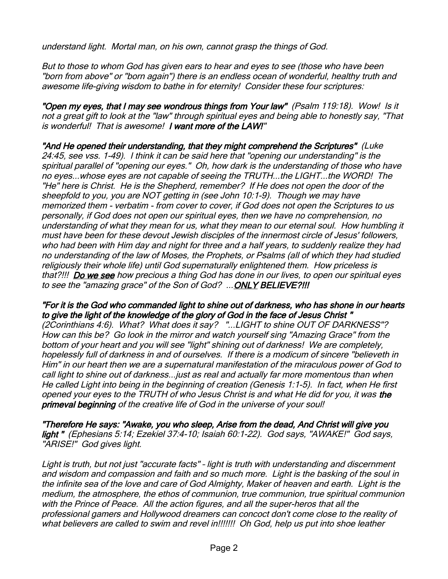understand light. Mortal man, on his own, cannot grasp the things of God.

But to those to whom God has given ears to hear and eyes to see (those who have been "born from above" or "born again") there is an endless ocean of wonderful, healthy truth and awesome life-giving wisdom to bathe in for eternity! Consider these four scriptures:

"Open my eyes, that I may see wondrous things from Your law" (Psalm 119:18). Wow! Is it not a great gift to look at the "law" through spiritual eyes and being able to honestly say, "That is wonderful! That is awesome! I want more of the LAW!"

"And He opened their understanding, that they might comprehend the Scriptures" (Luke 24:45, see vss. 1-49). I think it can be said here that "opening our understanding" is the spiritual parallel of "opening our eyes." Oh, how dark is the understanding of those who have no eyes...whose eyes are not capable of seeing the TRUTH...the LIGHT...the WORD! The "He" here is Christ. He is the Shepherd, remember? If He does not open the door of the sheepfold to you, you are NOT getting in (see John 10:1-9). Though we may have memorized them - verbatim - from cover to cover, if God does not open the Scriptures to us personally, if God does not open our spiritual eyes, then we have no comprehension, no understanding of what they mean for us, what they mean to our eternal soul. How humbling it must have been for these devout Jewish disciples of the innermost circle of Jesus' followers, who had been with Him day and night for three and a half years, to suddenly realize they had no understanding of the law of Moses, the Prophets, or Psalms (all of which they had studied religiously their whole life) until God supernaturally enlightened them. How priceless is that?!!! Do we see how precious a thing God has done in our lives, to open our spiritual eyes to see the "amazing grace" of the Son of God? ... ONLY BELIEVE?!!!

### "For it is the God who commanded light to shine out of darkness, who has shone in our hearts to give the light of the knowledge of the glory of God in the face of Jesus Christ "

(2Corinthians 4:6). What? What does it say? "...LIGHT to shine OUT OF DARKNESS"? How can this be? Go look in the mirror and watch yourself sing "Amazing Grace" from the bottom of your heart and you will see "light" shining out of darkness! We are completely, hopelessly full of darkness in and of ourselves. If there is a modicum of sincere "believeth in Him" in our heart then we are a supernatural manifestation of the miraculous power of God to call light to shine out of darkness...just as real and actually far more momentous than when He called Light into being in the beginning of creation (Genesis 1:1-5). In fact, when He first opened your eyes to the TRUTH of who Jesus Christ is and what He did for you, it was the primeval beginning of the creative life of God in the universe of your soul!

"Therefore He says: "Awake, you who sleep, Arise from the dead, And Christ will give you light " (Ephesians 5:14; Ezekiel 37:4-10; Isaiah 60:1-22). God says, "AWAKE!" God says, "ARISE!" God gives light.

Light is truth, but not just "accurate facts" – light is truth with understanding and discernment and wisdom and compassion and faith and so much more. Light is the basking of the soul in the infinite sea of the love and care of God Almighty, Maker of heaven and earth. Light is the medium, the atmosphere, the ethos of communion, true communion, true spiritual communion with the Prince of Peace. All the action figures, and all the super-heros that all the professional gamers and Hollywood dreamers can concoct don't come close to the reality of what believers are called to swim and revel in!!!!!!!! Oh God, help us put into shoe leather